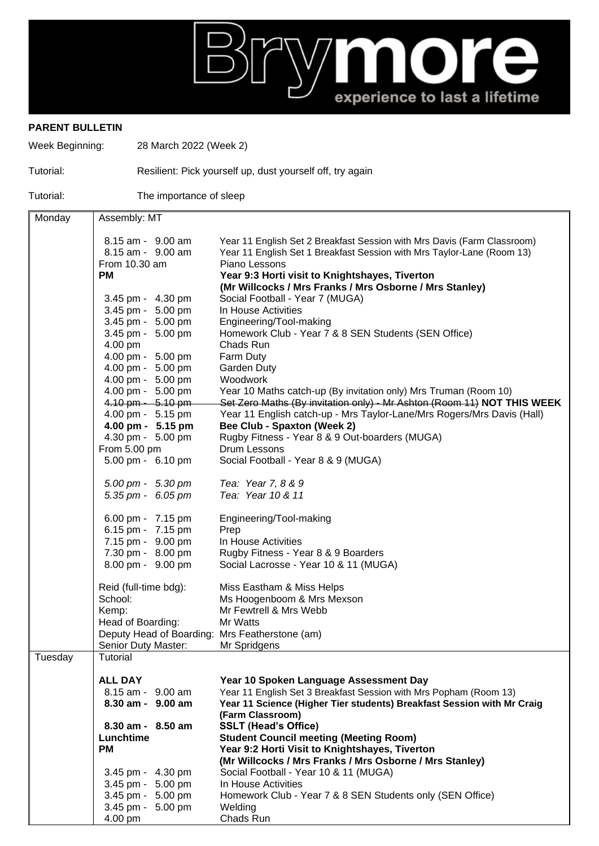## More experience to last a lifetime

## **PARENT BULLETIN**

Week Beginning: 28 March 2022 (Week 2)

## Tutorial: Resilient: Pick yourself up, dust yourself off, try again

Tutorial: The importance of sleep

| Monday  | Assembly: MT                                   |                                                                                            |
|---------|------------------------------------------------|--------------------------------------------------------------------------------------------|
|         |                                                |                                                                                            |
|         | 8.15 am - 9.00 am                              | Year 11 English Set 2 Breakfast Session with Mrs Davis (Farm Classroom)                    |
|         | 8.15 am - 9.00 am                              | Year 11 English Set 1 Breakfast Session with Mrs Taylor-Lane (Room 13)                     |
|         | From 10.30 am                                  | Piano Lessons                                                                              |
|         | <b>PM</b>                                      | Year 9:3 Horti visit to Knightshayes, Tiverton                                             |
|         |                                                | (Mr Willcocks / Mrs Franks / Mrs Osborne / Mrs Stanley)                                    |
|         | 3.45 pm - 4.30 pm                              | Social Football - Year 7 (MUGA)                                                            |
|         | 3.45 pm - 5.00 pm                              | In House Activities                                                                        |
|         | 3.45 pm - 5.00 pm                              | Engineering/Tool-making                                                                    |
|         | 3.45 pm - 5.00 pm                              | Homework Club - Year 7 & 8 SEN Students (SEN Office)                                       |
|         | 4.00 pm                                        | Chads Run                                                                                  |
|         | 4.00 pm - 5.00 pm                              | Farm Duty                                                                                  |
|         | 4.00 pm - 5.00 pm                              | <b>Garden Duty</b>                                                                         |
|         | 4.00 pm - 5.00 pm                              | Woodwork                                                                                   |
|         | 4.00 pm - 5.00 pm                              | Year 10 Maths catch-up (By invitation only) Mrs Truman (Room 10)                           |
|         | 4.10 pm - 5.10 pm                              | Set Zero Maths (By invitation only) - Mr Ashton (Room 11) NOT THIS WEEK                    |
|         | 4.00 pm - 5.15 pm                              | Year 11 English catch-up - Mrs Taylor-Lane/Mrs Rogers/Mrs Davis (Hall)                     |
|         | 4.00 pm - 5.15 pm                              | Bee Club - Spaxton (Week 2)                                                                |
|         | 4.30 pm - 5.00 pm                              | Rugby Fitness - Year 8 & 9 Out-boarders (MUGA)                                             |
|         | From 5.00 pm                                   | Drum Lessons                                                                               |
|         | 5.00 pm - 6.10 pm                              | Social Football - Year 8 & 9 (MUGA)                                                        |
|         | 5.00 pm - 5.30 pm                              | Tea: Year 7, 8 & 9                                                                         |
|         | 5.35 pm - 6.05 pm                              | Tea: Year 10 & 11                                                                          |
|         |                                                |                                                                                            |
|         | 6.00 pm - 7.15 pm                              | Engineering/Tool-making                                                                    |
|         | 6.15 pm - 7.15 pm                              | Prep                                                                                       |
|         | 7.15 pm - 9.00 pm                              | In House Activities                                                                        |
|         | 7.30 pm - 8.00 pm                              | Rugby Fitness - Year 8 & 9 Boarders                                                        |
|         | 8.00 pm - 9.00 pm                              | Social Lacrosse - Year 10 & 11 (MUGA)                                                      |
|         | Reid (full-time bdg):                          | Miss Eastham & Miss Helps                                                                  |
|         | School:                                        | Ms Hoogenboom & Mrs Mexson                                                                 |
|         | Kemp:                                          | Mr Fewtrell & Mrs Webb                                                                     |
|         | Head of Boarding:                              | Mr Watts                                                                                   |
|         | Deputy Head of Boarding: Mrs Featherstone (am) |                                                                                            |
|         | Senior Duty Master:                            | Mr Spridgens                                                                               |
| Tuesday | Tutorial                                       |                                                                                            |
|         |                                                |                                                                                            |
|         | <b>ALL DAY</b>                                 | Year 10 Spoken Language Assessment Day                                                     |
|         | 8.15 am - 9.00 am                              | Year 11 English Set 3 Breakfast Session with Mrs Popham (Room 13)                          |
|         | 8.30 am - 9.00 am                              | Year 11 Science (Higher Tier students) Breakfast Session with Mr Craig<br>(Farm Classroom) |
|         | 8.30 am - 8.50 am                              | <b>SSLT (Head's Office)</b>                                                                |
|         | Lunchtime                                      | <b>Student Council meeting (Meeting Room)</b>                                              |
|         | <b>PM</b>                                      | Year 9:2 Horti Visit to Knightshayes, Tiverton                                             |
|         |                                                | (Mr Willcocks / Mrs Franks / Mrs Osborne / Mrs Stanley)                                    |
|         | 3.45 pm - 4.30 pm                              | Social Football - Year 10 & 11 (MUGA)                                                      |
|         | 3.45 pm - 5.00 pm                              | In House Activities                                                                        |
|         | 3.45 pm - 5.00 pm                              | Homework Club - Year 7 & 8 SEN Students only (SEN Office)                                  |
|         | 3.45 pm - 5.00 pm                              | Welding                                                                                    |
|         | 4.00 pm                                        | Chads Run                                                                                  |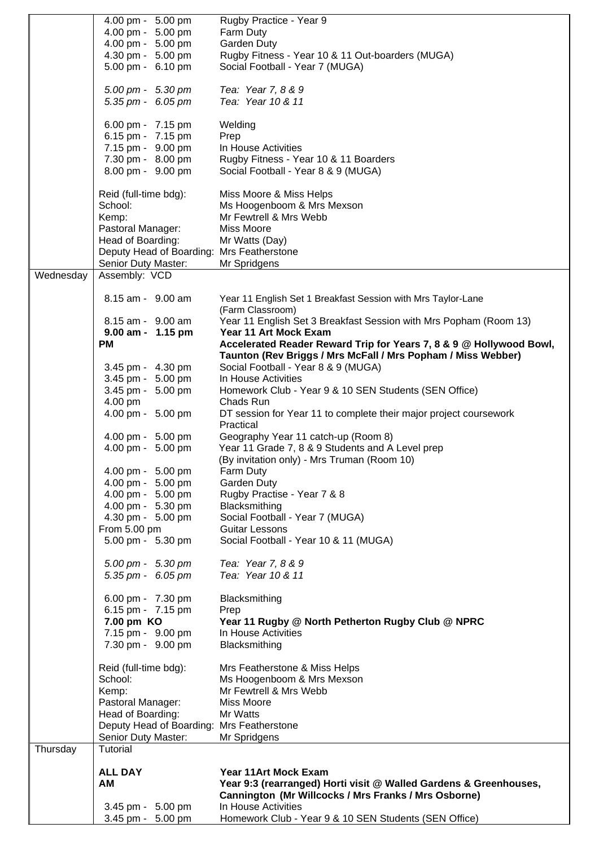|           | 4.00 pm - 5.00 pm                         | Rugby Practice - Year 9                                             |
|-----------|-------------------------------------------|---------------------------------------------------------------------|
|           | 4.00 pm - 5.00 pm                         | Farm Duty                                                           |
|           | 4.00 pm - 5.00 pm                         | Garden Duty                                                         |
|           |                                           |                                                                     |
|           | 4.30 pm - 5.00 pm                         | Rugby Fitness - Year 10 & 11 Out-boarders (MUGA)                    |
|           | 5.00 pm - 6.10 pm                         | Social Football - Year 7 (MUGA)                                     |
|           |                                           |                                                                     |
|           | 5.00 pm - 5.30 pm                         | Tea: Year 7, 8 & 9                                                  |
|           |                                           | Tea: Year 10 & 11                                                   |
|           | 5.35 pm - 6.05 pm                         |                                                                     |
|           |                                           |                                                                     |
|           | 6.00 pm - 7.15 pm                         | Welding                                                             |
|           | 6.15 pm - 7.15 pm                         | Prep                                                                |
|           | 7.15 pm - 9.00 pm                         | In House Activities                                                 |
|           | 7.30 pm - 8.00 pm                         | Rugby Fitness - Year 10 & 11 Boarders                               |
|           |                                           |                                                                     |
|           | 8.00 pm - 9.00 pm                         | Social Football - Year 8 & 9 (MUGA)                                 |
|           |                                           |                                                                     |
|           | Reid (full-time bdg):                     | Miss Moore & Miss Helps                                             |
|           | School:                                   | Ms Hoogenboom & Mrs Mexson                                          |
|           |                                           |                                                                     |
|           | Kemp:                                     | Mr Fewtrell & Mrs Webb                                              |
|           | Pastoral Manager:                         | Miss Moore                                                          |
|           | Head of Boarding:                         | Mr Watts (Day)                                                      |
|           | Deputy Head of Boarding: Mrs Featherstone |                                                                     |
|           | Senior Duty Master:                       | Mr Spridgens                                                        |
|           |                                           |                                                                     |
| Wednesday | Assembly: VCD                             |                                                                     |
|           |                                           |                                                                     |
|           | 8.15 am - 9.00 am                         | Year 11 English Set 1 Breakfast Session with Mrs Taylor-Lane        |
|           |                                           | (Farm Classroom)                                                    |
|           | 8.15 am - 9.00 am                         | Year 11 English Set 3 Breakfast Session with Mrs Popham (Room 13)   |
|           |                                           |                                                                     |
|           | 9.00 am - 1.15 pm                         | Year 11 Art Mock Exam                                               |
|           | <b>PM</b>                                 | Accelerated Reader Reward Trip for Years 7, 8 & 9 @ Hollywood Bowl, |
|           |                                           | Taunton (Rev Briggs / Mrs McFall / Mrs Popham / Miss Webber)        |
|           | 3.45 pm - 4.30 pm                         | Social Football - Year 8 & 9 (MUGA)                                 |
|           | 3.45 pm - 5.00 pm                         | In House Activities                                                 |
|           |                                           |                                                                     |
|           | 3.45 pm - 5.00 pm                         | Homework Club - Year 9 & 10 SEN Students (SEN Office)               |
|           | 4.00 pm                                   | Chads Run                                                           |
|           | 4.00 pm - 5.00 pm                         | DT session for Year 11 to complete their major project coursework   |
|           |                                           | Practical                                                           |
|           |                                           |                                                                     |
|           | 4.00 pm - 5.00 pm                         | Geography Year 11 catch-up (Room 8)                                 |
|           | 4.00 pm - 5.00 pm                         | Year 11 Grade 7, 8 & 9 Students and A Level prep                    |
|           |                                           | (By invitation only) - Mrs Truman (Room 10)                         |
|           | 4.00 pm - 5.00 pm                         | Farm Duty                                                           |
|           | 4.00 pm - 5.00 pm                         | Garden Duty                                                         |
|           |                                           |                                                                     |
|           | 4.00 pm - 5.00 pm                         | Rugby Practise - Year 7 & 8                                         |
|           | 4.00 pm - 5.30 pm                         | Blacksmithing                                                       |
|           | 4.30 pm - 5.00 pm                         | Social Football - Year 7 (MUGA)                                     |
|           | From 5.00 pm                              | <b>Guitar Lessons</b>                                               |
|           | 5.00 pm - 5.30 pm                         | Social Football - Year 10 & 11 (MUGA)                               |
|           |                                           |                                                                     |
|           |                                           |                                                                     |
|           | $5.00 \text{ pm} - 5.30 \text{ pm}$       | Tea: Year 7, 8 & 9                                                  |
|           | 5.35 pm - $6.05$ pm                       | Tea: Year 10 & 11                                                   |
|           |                                           |                                                                     |
|           | 6.00 pm - 7.30 pm                         | Blacksmithing                                                       |
|           |                                           |                                                                     |
|           | 6.15 pm - 7.15 pm                         | Prep                                                                |
|           | 7.00 pm KO                                | Year 11 Rugby @ North Petherton Rugby Club @ NPRC                   |
|           | 7.15 pm - 9.00 pm                         | In House Activities                                                 |
|           | 7.30 pm - 9.00 pm                         | Blacksmithing                                                       |
|           |                                           |                                                                     |
|           |                                           |                                                                     |
|           | Reid (full-time bdg):                     | Mrs Featherstone & Miss Helps                                       |
|           | School:                                   | Ms Hoogenboom & Mrs Mexson                                          |
|           | Kemp:                                     | Mr Fewtrell & Mrs Webb                                              |
|           | Pastoral Manager:                         | Miss Moore                                                          |
|           |                                           | Mr Watts                                                            |
|           | Head of Boarding:                         |                                                                     |
|           | Deputy Head of Boarding: Mrs Featherstone |                                                                     |
|           | Senior Duty Master:                       | Mr Spridgens                                                        |
| Thursday  | Tutorial                                  |                                                                     |
|           |                                           |                                                                     |
|           | <b>ALL DAY</b>                            | <b>Year 11Art Mock Exam</b>                                         |
|           |                                           |                                                                     |
|           | AM                                        | Year 9:3 (rearranged) Horti visit @ Walled Gardens & Greenhouses,   |
|           |                                           | Cannington (Mr Willcocks / Mrs Franks / Mrs Osborne)                |
|           | 3.45 pm - 5.00 pm                         | In House Activities                                                 |
|           | 3.45 pm - 5.00 pm                         | Homework Club - Year 9 & 10 SEN Students (SEN Office)               |